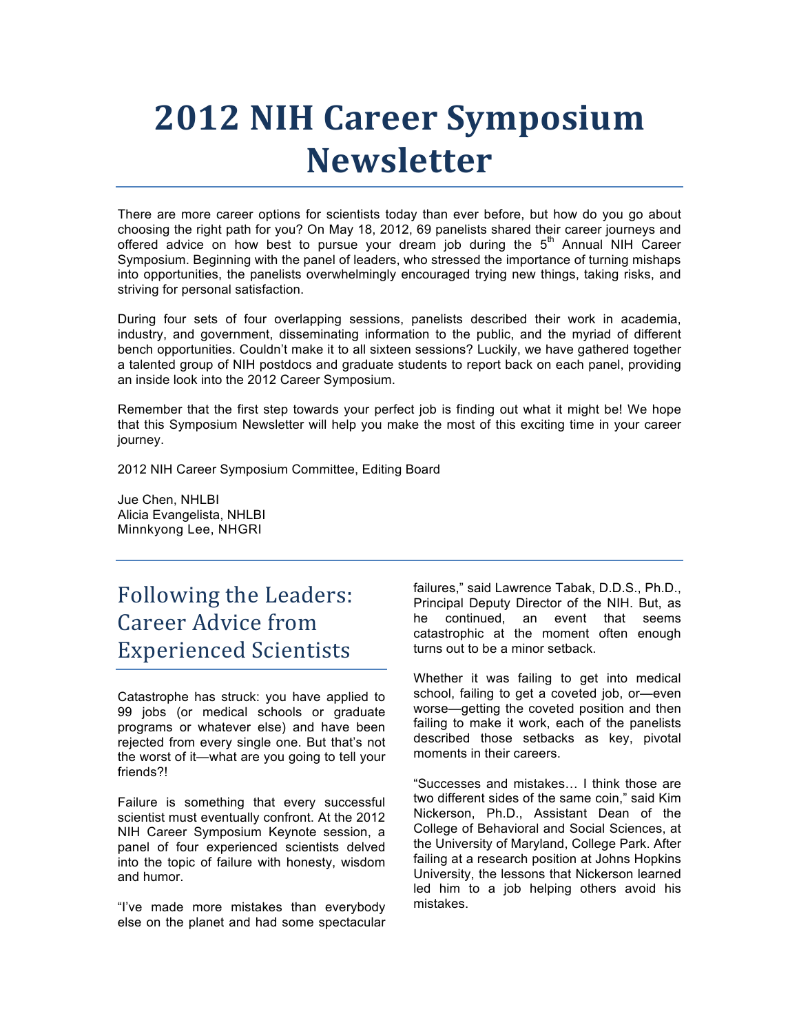# **2012 NIH Career Symposium Newsletter**

 There are more career options for scientists today than ever before, but how do you go about choosing the right path for you? On May 18, 2012, 69 panelists shared their career journeys and offered advice on how best to pursue your dream job during the  $5<sup>th</sup>$  Annual NIH Career Symposium. Beginning with the panel of leaders, who stressed the importance of turning mishaps into opportunities, the panelists overwhelmingly encouraged trying new things, taking risks, and striving for personal satisfaction.

 During four sets of four overlapping sessions, panelists described their work in academia, industry, and government, disseminating information to the public, and the myriad of different a talented group of NIH postdocs and graduate students to report back on each panel, providing an inside look into the 2012 Career Symposium. bench opportunities. Couldn't make it to all sixteen sessions? Luckily, we have gathered together

an inside look into the 2012 Career Symposium.<br>Remember that the first step towards your perfect job is finding out what it might be! We hope that this Symposium Newsletter will help you make the most of this exciting time in your career journey.

2012 NIH Career Symposium Committee, Editing Board

 Jue Chen, NHLBI Minnkyong Lee, NHGRI Alicia Evangelista, NHLBI

### Following the Leaders: Career Advice from Experienced Scientists

 Catastrophe has struck: you have applied to 99 jobs (or medical schools or graduate programs or whatever else) and have been rejected from every single one. But that's not the worst of it—what are you going to tell your friends?!

 Failure is something that every successful scientist must eventually confront. At the 2012 NIH Career Symposium Keynote session, a panel of four experienced scientists delved into the topic of failure with honesty, wisdom and humor.

 "I've made more mistakes than everybody else on the planet and had some spectacular

 failures," said Lawrence Tabak, D.D.S., Ph.D., Principal Deputy Director of the NIH. But, as he continued, an event that seems catastrophic at the moment often enough turns out to be a minor setback.

 Whether it was failing to get into medical school, failing to get a coveted job, or—even failing to make it work, each of the panelists described those setbacks as key, pivotal moments in their careers. worse—getting the coveted position and then

 "Successes and mistakes… I think those are Nickerson, Ph.D., Assistant Dean of the College of Behavioral and Social Sciences, at the University of Maryland, College Park. After failing at a research position at Johns Hopkins University, the lessons that Nickerson learned led him to a job helping others avoid his two different sides of the same coin," said Kim mistakes.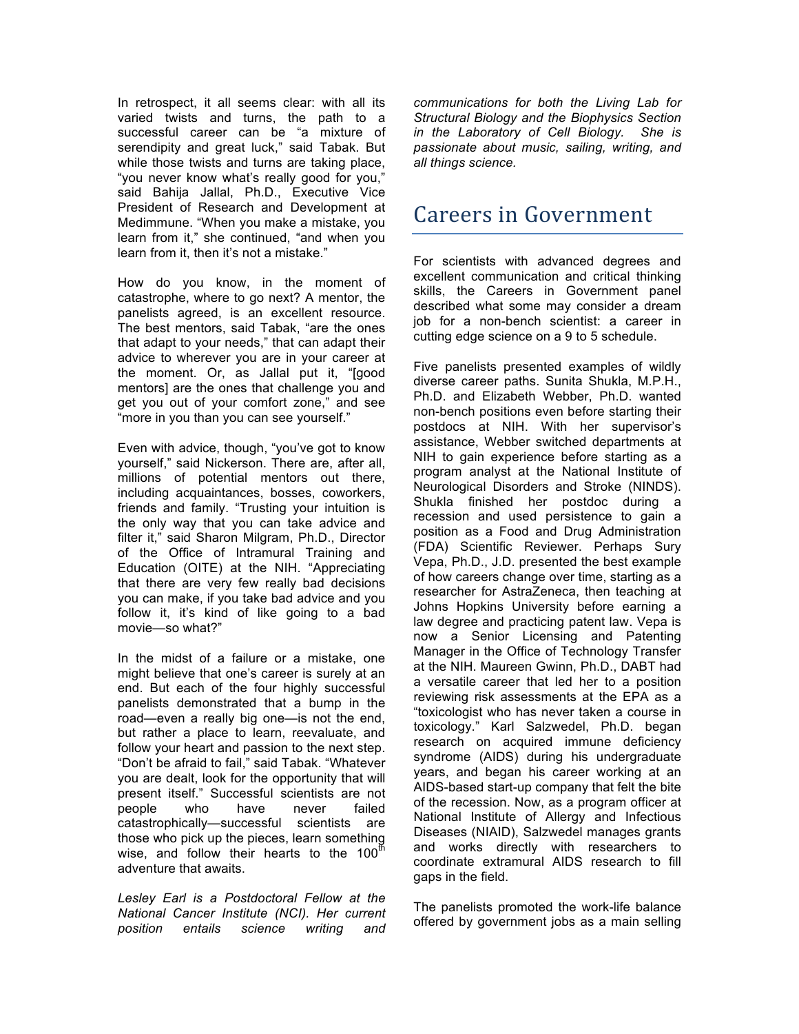In retrospect, it all seems clear: with all its varied twists and turns, the path to a successful career can be "a mixture of serendipity and great luck," said Tabak. But while those twists and turns are taking place, "you never know what's really good for you," said Bahija Jallal, Ph.D., Executive Vice President of Research and Development at Medimmune. "When you make a mistake, you learn from it," she continued, "and when you learn from it, then it's not a mistake."

 How do you know, in the moment of catastrophe, where to go next? A mentor, the panelists agreed, is an excellent resource. The best mentors, said Tabak, "are the ones that adapt to your needs," that can adapt their advice to wherever you are in your career at the moment. Or, as Jallal put it, "[good mentors] are the ones that challenge you and get you out of your comfort zone," and see "more in you than you can see yourself."

 Even with advice, though, "you've got to know yourself," said Nickerson. There are, after all, millions of potential mentors out there, including acquaintances, bosses, coworkers, friends and family. "Trusting your intuition is the only way that you can take advice and filter it," said Sharon Milgram, Ph.D., Director Education (OITE) at the NIH. "Appreciating that there are very few really bad decisions you can make, if you take bad advice and you follow it, it's kind of like going to a bad of the Office of Intramural Training and movie—so what?"

 In the midst of a failure or a mistake, one might believe that one's career is surely at an end. But each of the four highly successful road—even a really big one—is not the end, but rather a place to learn, reevaluate, and follow your heart and passion to the next step. "Don't be afraid to fail," said Tabak. "Whatever you are dealt, look for the opportunity that will present itself." Successful scientists are not people who have never failed those who pick up the pieces, learn something wise, and follow their hearts to the 100 $^{\text{th}}$  adventure that awaits. panelists demonstrated that a bump in the catastrophically—successful scientists are

 *Lesley Earl is a Postdoctoral Fellow at the National Cancer Institute (NCI). Her current position entails science writing and* 

 *communications for both the Living Lab for Structural Biology and the Biophysics Section in the Laboratory of Cell Biology. She is passionate about music, sailing, writing, and all things science.* 

### **Careers in Government**

 For scientists with advanced degrees and skills, the Careers in Government panel described what some may consider a dream job for a non-bench scientist: a career in cutting edge science on a 9 to 5 schedule. excellent communication and critical thinking

 Five panelists presented examples of wildly diverse career paths. Sunita Shukla, M.P.H., postdocs at NIH. With her supervisor's assistance, Webber switched departments at NIH to gain experience before starting as a program analyst at the National Institute of Neurological Disorders and Stroke (NINDS). Shukla finished her postdoc during a recession and used persistence to gain a position as a Food and Drug Administration (FDA) Scientific Reviewer. Perhaps Sury of how careers change over time, starting as a researcher for AstraZeneca, then teaching at law degree and practicing patent law. Vepa is Manager in the Office of Technology Transfer a versatile career that led her to a position reviewing risk assessments at the EPA as a "toxicologist who has never taken a course in syndrome (AIDS) during his undergraduate years, and began his career working at an AIDS-based start-up company that felt the bite of the recession. Now, as a program officer at National Institute of Allergy and Infectious Diseases (NIAID), Salzwedel manages grants and works directly with researchers to coordinate extramural AIDS research to fill Ph.D. and Elizabeth Webber, Ph.D. wanted non-bench positions even before starting their Vepa, Ph.D., J.D. presented the best example Johns Hopkins University before earning a now a Senior Licensing and Patenting at the NIH. Maureen Gwinn, Ph.D., DABT had toxicology." Karl Salzwedel, Ph.D. began research on acquired immune deficiency gaps in the field.

 The panelists promoted the work-life balance offered by government jobs as a main selling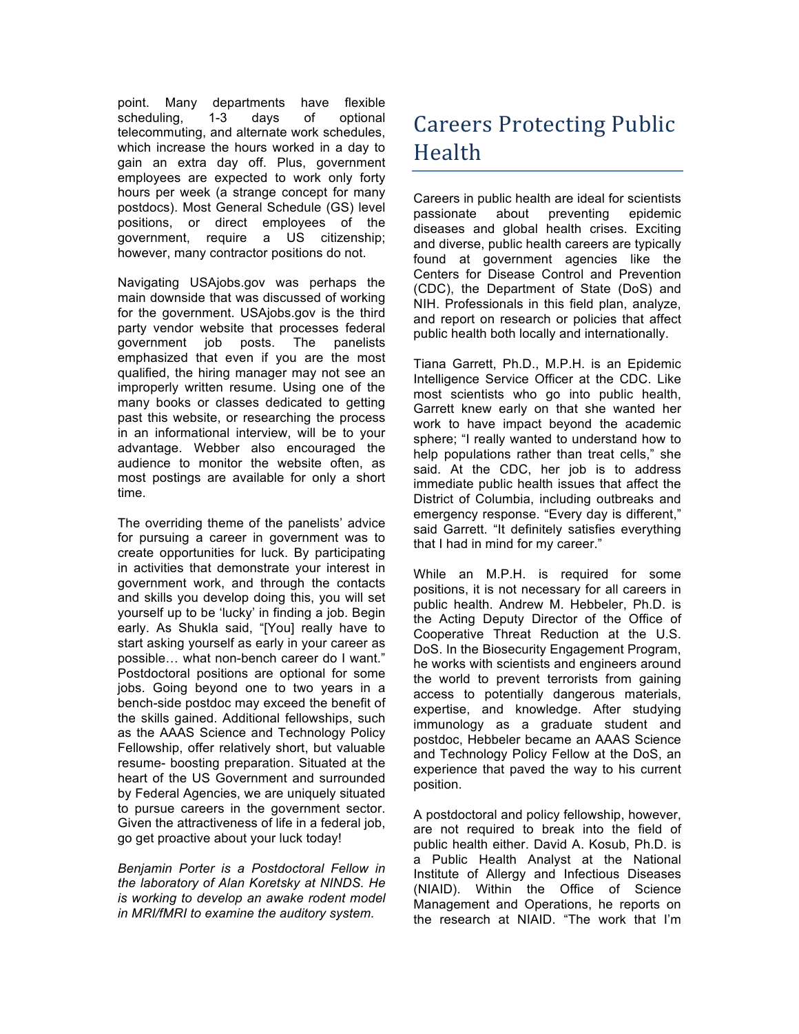point. Many departments have flexible davs telecommuting, and alternate work schedules, which increase the hours worked in a day to gain an extra day off. Plus, government employees are expected to work only forty hours per week (a strange concept for many postdocs). Most General Schedule (GS) level positions, or direct employees of the government, require a US citizenship; however, many contractor positions do not. scheduling, 1-3 days of optional

 Navigating USAjobs.gov was perhaps the main downside that was discussed of working for the government. USAjobs.gov is the third party vendor website that processes federal emphasized that even if you are the most qualified, the hiring manager may not see an improperly written resume. Using one of the many books or classes dedicated to getting past this website, or researching the process in an informational interview, will be to your audience to monitor the website often, as most postings are available for only a short government job posts. The panelists advantage. Webber also encouraged the time.

 The overriding theme of the panelists' advice for pursuing a career in government was to in activities that demonstrate your interest in government work, and through the contacts and skills you develop doing this, you will set yourself up to be 'lucky' in finding a job. Begin early. As Shukla said, "[You] really have to start asking yourself as early in your career as possible… what non-bench career do I want." Postdoctoral positions are optional for some jobs. Going beyond one to two years in a bench-side postdoc may exceed the benefit of the skills gained. Additional fellowships, such as the AAAS Science and Technology Policy Fellowship, offer relatively short, but valuable heart of the US Government and surrounded by Federal Agencies, we are uniquely situated to pursue careers in the government sector. Given the attractiveness of life in a federal job, go get proactive about your luck today! create opportunities for luck. By participating resume- boosting preparation. Situated at the

 *Benjamin Porter is a Postdoctoral Fellow in the laboratory of Alan Koretsky at NINDS. He is working to develop an awake rodent model in MRI/fMRI to examine the auditory system.* 

# **Careers Protecting Public** Health

 Careers in public health are ideal for scientists and diverse, public health careers are typically found at government agencies like the Centers for Disease Control and Prevention (CDC), the Department of State (DoS) and NIH. Professionals in this field plan, analyze, and report on research or policies that affect passionate about preventing epidemic diseases and global health crises. Exciting public health both locally and internationally.

 Tiana Garrett, Ph.D., M.P.H. is an Epidemic Intelligence Service Officer at the CDC. Like most scientists who go into public health, Garrett knew early on that she wanted her work to have impact beyond the academic sphere; "I really wanted to understand how to help populations rather than treat cells," she said. At the CDC, her job is to address immediate public health issues that affect the District of Columbia, including outbreaks and emergency response. "Every day is different," said Garrett. "It definitely satisfies everything that I had in mind for my career."

 While an M.P.H. is required for some positions, it is not necessary for all careers in public health. Andrew M. Hebbeler, Ph.D. is the Acting Deputy Director of the Office of Cooperative Threat Reduction at the U.S. DoS. In the Biosecurity Engagement Program, the world to prevent terrorists from gaining access to potentially dangerous materials, expertise, and knowledge. After studying immunology as a graduate student and postdoc, Hebbeler became an AAAS Science and Technology Policy Fellow at the DoS, an experience that paved the way to his current he works with scientists and engineers around position.

 A postdoctoral and policy fellowship, however, public health either. David A. Kosub, Ph.D. is a Public Health Analyst at the National Institute of Allergy and Infectious Diseases (NIAID). Within the Office of Science Management and Operations, he reports on the research at NIAID. "The work that I'm are not required to break into the field of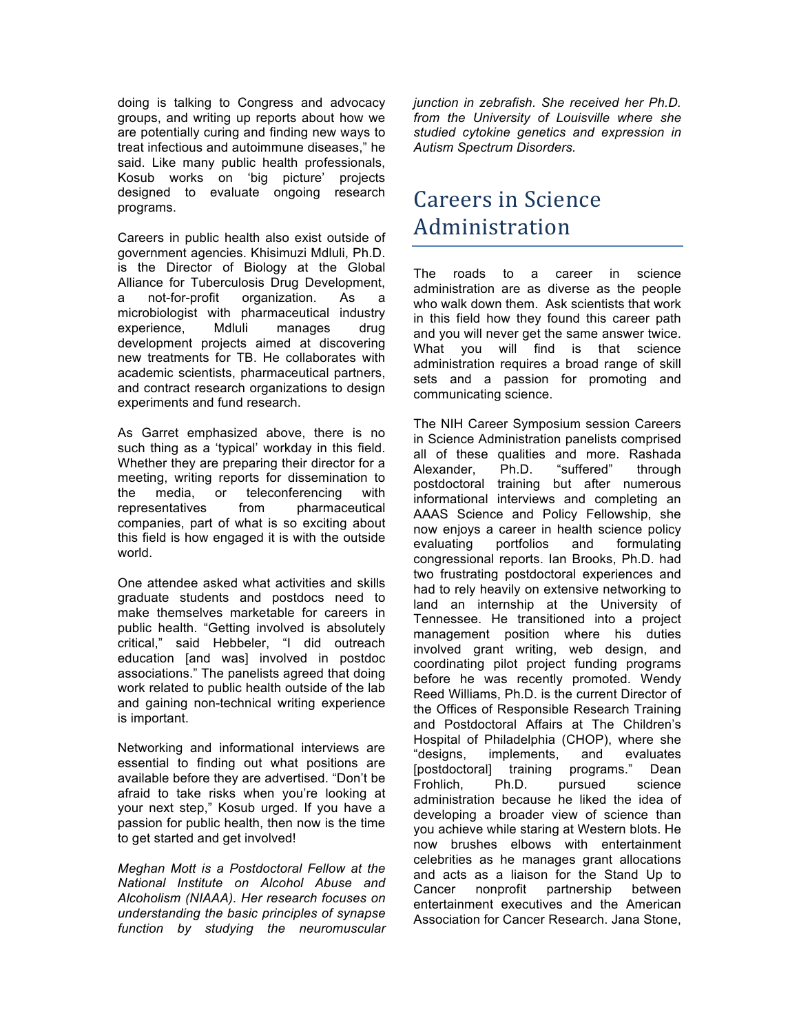doing is talking to Congress and advocacy groups, and writing up reports about how we are potentially curing and finding new ways to treat infectious and autoimmune diseases," he said. Like many public health professionals, Kosub works on 'big picture' projects designed to evaluate ongoing research programs.

 Careers in public health also exist outside of government agencies. Khisimuzi Mdluli, Ph.D. is the Director of Biology at the Global Alliance for Tuberculosis Drug Development, microbiologist with pharmaceutical industry experience, Mdluli manages drug development projects aimed at discovering new treatments for TB. He collaborates with academic scientists, pharmaceutical partners, experiments and fund research. a not-for-profit organization. As a and contract research organizations to design

experiments and fund research.<br>As Garret emphasized above, there is no such thing as a 'typical' workday in this field. Whether they are preparing their director for a meeting, writing reports for dissemination to the media, or teleconferencing with representatives companies, part of what is so exciting about this field is how engaged it is with the outside from pharmaceutical world.

 One attendee asked what activities and skills make themselves marketable for careers in public health. "Getting involved is absolutely critical," said Hebbeler, "I did outreach work related to public health outside of the lab and gaining non-technical writing experience is important. graduate students and postdocs need to education [and was] involved in postdoc associations." The panelists agreed that doing

 Networking and informational interviews are essential to finding out what positions are available before they are advertised. "Don't be your next step," Kosub urged. If you have a passion for public health, then now is the time afraid to take risks when you're looking at to get started and get involved!

 *Meghan Mott is a Postdoctoral Fellow at the National Institute on Alcohol Abuse and Alcoholism (NIAAA). Her research focuses on understanding the basic principles of synapse function by studying the neuromuscular*   *junction in zebrafish. She received her Ph.D. from the University of Louisville where she studied cytokine genetics and expression in Autism Spectrum Disorders.* 

### Careers in Science Administration

 The roads to a career in science who walk down them. Ask scientists that work in this field how they found this career path and you will never get the same answer twice. What you will find is that science administration requires a broad range of skill sets and a passion for promoting and administration are as diverse as the people communicating science.

 The NIH Career Symposium session Careers in Science Administration panelists comprised all of these qualities and more. Rashada postdoctoral training but after numerous informational interviews and completing an AAAS Science and Policy Fellowship, she now enjoys a career in health science policy congressional reports. Ian Brooks, Ph.D. had had to rely heavily on extensive networking to land an internship at the University of Tennessee. He transitioned into a project management position where his duties involved grant writing, web design, and coordinating pilot project funding programs before he was recently promoted. Wendy Reed Williams, Ph.D. is the current Director of the Offices of Responsible Research Training and Postdoctoral Affairs at The Children's Hospital of Philadelphia (CHOP), where she [postdoctoral] training programs." Dean developing a broader view of science than you achieve while staring at Western blots. He now brushes elbows with entertainment and acts as a liaison for the Stand Up to Association for Cancer Research. Jana Stone, Alexander, Ph.D. "suffered" through evaluating portfolios and formulating two frustrating postdoctoral experiences and "designs, implements, and evaluates Frohlich, Ph.D. pursued science administration because he liked the idea of celebrities as he manages grant allocations Cancer nonprofit partnership between entertainment executives and the American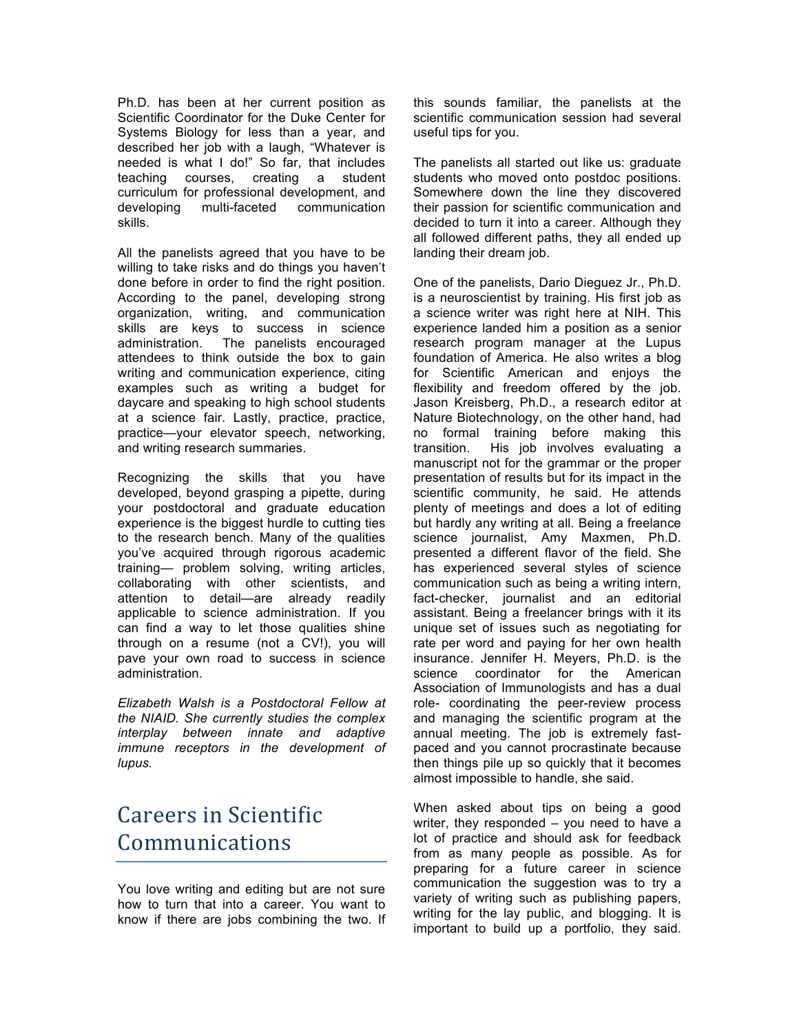Ph.D. has been at her current position as Scientific Coordinator for the Duke Center for Systems Biology for less than a year, and described her job with a laugh, "Whatever is needed is what I do!" So far, that includes teaching courses, creating a student curriculum for professional development, and developing multi-faceted communication skills.

 All the panelists agreed that you have to be willing to take risks and do things you haven't done before in order to find the right position. According to the panel, developing strong organization, writing, and communication skills are keys to success in science administration. attendees to think outside the box to gain writing and communication experience, citing examples such as writing a budget for at a science fair. Lastly, practice, practice, practice—your elevator speech, networking, The panelists encouraged daycare and speaking to high school students and writing research summaries.

 Recognizing the skills that you have developed, beyond grasping a pipette, during to the research bench. Many of the qualities you've acquired through rigorous academic training— problem solving, writing articles, collaborating with other scientists, and attention to detail—are already readily can find a way to let those qualities shine through on a resume (not a CV!), you will your postdoctoral and graduate education experience is the biggest hurdle to cutting ties applicable to science administration. If you pave your own road to success in science administration.

 *Elizabeth Walsh is a Postdoctoral Fellow at the NIAID. She currently studies the complex interplay between innate and adaptive immune receptors in the development of lupus.* 

# **Careers in Scientific** Communications

 You love writing and editing but are not sure how to turn that into a career. You want to know if there are jobs combining the two. If  this sounds familiar, the panelists at the scientific communication session had several useful tips for you.

 The panelists all started out like us: graduate students who moved onto postdoc positions. their passion for scientific communication and all followed different paths, they all ended up landing their dream job. Somewhere down the line they discovered decided to turn it into a career. Although they

 One of the panelists, Dario Dieguez Jr., Ph.D. is a neuroscientist by training. His first job as a science writer was right here at NIH. This experience landed him a position as a senior research program manager at the Lupus foundation of America. He also writes a blog for Scientific American and enjoys the flexibility and freedom offered by the job. Jason Kreisberg, Ph.D., a research editor at Nature Biotechnology, on the other hand, had manuscript not for the grammar or the proper presentation of results but for its impact in the scientific community, he said. He attends plenty of meetings and does a lot of editing but hardly any writing at all. Being a freelance science journalist, Amy Maxmen, Ph.D. presented a different flavor of the field. She has experienced several styles of science communication such as being a writing intern, fact-checker, journalist and an editorial assistant. Being a freelancer brings with it its unique set of issues such as negotiating for rate per word and paying for her own health insurance. Jennifer H. Meyers, Ph.D. is the science coordinator for the American Association of Immunologists and has a dual role- coordinating the peer-review process and managing the scientific program at the annual meeting. The job is extremely fast- then things pile up so quickly that it becomes almost impossible to handle, she said. no formal training before making this transition. His job involves evaluating a paced and you cannot procrastinate because

 When asked about tips on being a good writer, they responded – you need to have a lot of practice and should ask for feedback from as many people as possible. As for communication the suggestion was to try a variety of writing such as publishing papers, writing for the lay public, and blogging. It is important to build up a portfolio, they said. preparing for a future career in science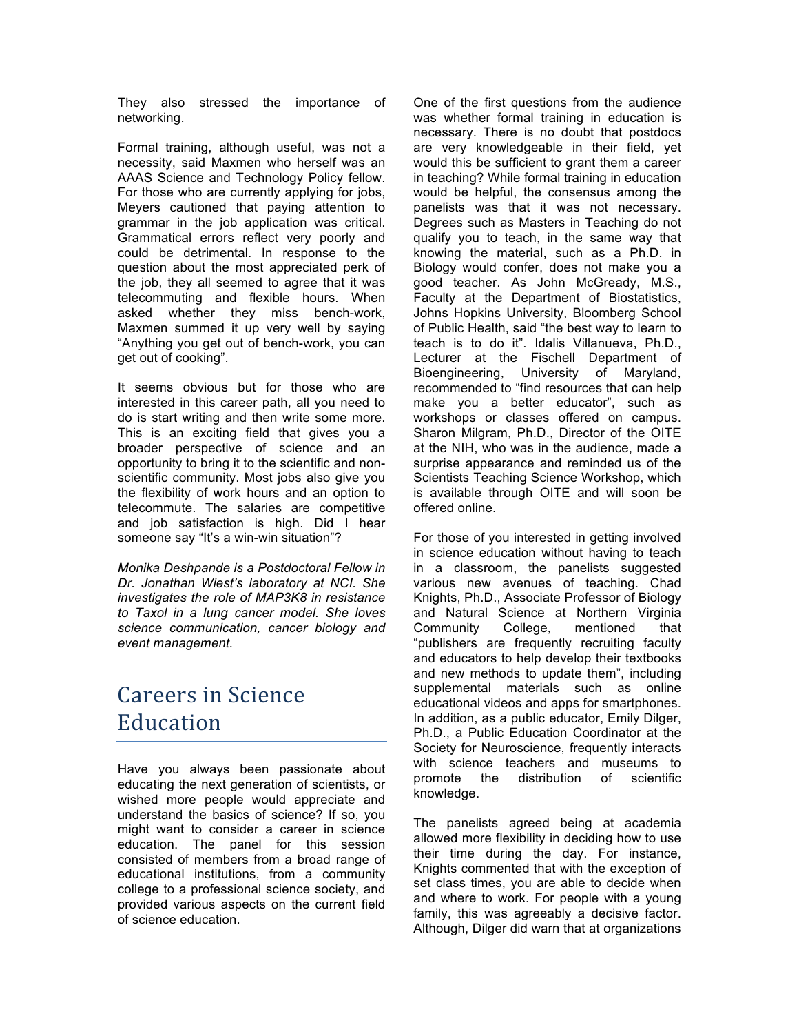They also stressed the importance of networking.

 Formal training, although useful, was not a necessity, said Maxmen who herself was an AAAS Science and Technology Policy fellow. For those who are currently applying for jobs, Meyers cautioned that paying attention to grammar in the job application was critical. Grammatical errors reflect very poorly and could be detrimental. In response to the question about the most appreciated perk of the job, they all seemed to agree that it was telecommuting and flexible hours. When asked whether they miss bench-work, Maxmen summed it up very well by saying "Anything you get out of bench-work, you can get out of cooking".

 It seems obvious but for those who are interested in this career path, all you need to do is start writing and then write some more. This is an exciting field that gives you a opportunity to bring it to the scientific and non- scientific community. Most jobs also give you the flexibility of work hours and an option to telecommute. The salaries are competitive and job satisfaction is high. Did I hear someone say "It's a win-win situation"? broader perspective of science and an

 *Monika Deshpande is a Postdoctoral Fellow in Dr. Jonathan Wiest's laboratory at NCI. She investigates the role of MAP3K8 in resistance to Taxol in a lung cancer model. She loves science communication, cancer biology and event management.* 

### **Careers in Science** Education

 Have you always been passionate about wished more people would appreciate and understand the basics of science? If so, you might want to consider a career in science education. The panel for this session consisted of members from a broad range of educational institutions, from a community college to a professional science society, and provided various aspects on the current field of science education. educating the next generation of scientists, or

 One of the first questions from the audience was whether formal training in education is necessary. There is no doubt that postdocs are very knowledgeable in their field, yet would this be sufficient to grant them a career in teaching? While formal training in education would be helpful, the consensus among the panelists was that it was not necessary. Degrees such as Masters in Teaching do not qualify you to teach, in the same way that knowing the material, such as a Ph.D. in Biology would confer, does not make you a good teacher. As John McGready, M.S., Faculty at the Department of Biostatistics, of Public Health, said "the best way to learn to teach is to do it". Idalis Villanueva, Ph.D., Lecturer at the Fischell Department of Bioengineering, University of Maryland, recommended to "find resources that can help workshops or classes offered on campus. Sharon Milgram, Ph.D., Director of the OITE at the NIH, who was in the audience, made a surprise appearance and reminded us of the Scientists Teaching Science Workshop, which is available through OITE and will soon be Johns Hopkins University, Bloomberg School make you a better educator", such as offered online.

 For those of you interested in getting involved in science education without having to teach in a classroom, the panelists suggested various new avenues of teaching. Chad Knights, Ph.D., Associate Professor of Biology mentioned "publishers are frequently recruiting faculty and educators to help develop their textbooks and new methods to update them", including educational videos and apps for smartphones. In addition, as a public educator, Emily Dilger, Ph.D., a Public Education Coordinator at the Society for Neuroscience, frequently interacts with science teachers and museums to and Natural Science at Northern Virginia Community College, mentioned that supplemental materials such as online promote the distribution of scientific knowledge.

 their time during the day. For instance, Knights commented that with the exception of set class times, you are able to decide when and where to work. For people with a young family, this was agreeably a decisive factor. Although, Dilger did warn that at organizations The panelists agreed being at academia allowed more flexibility in deciding how to use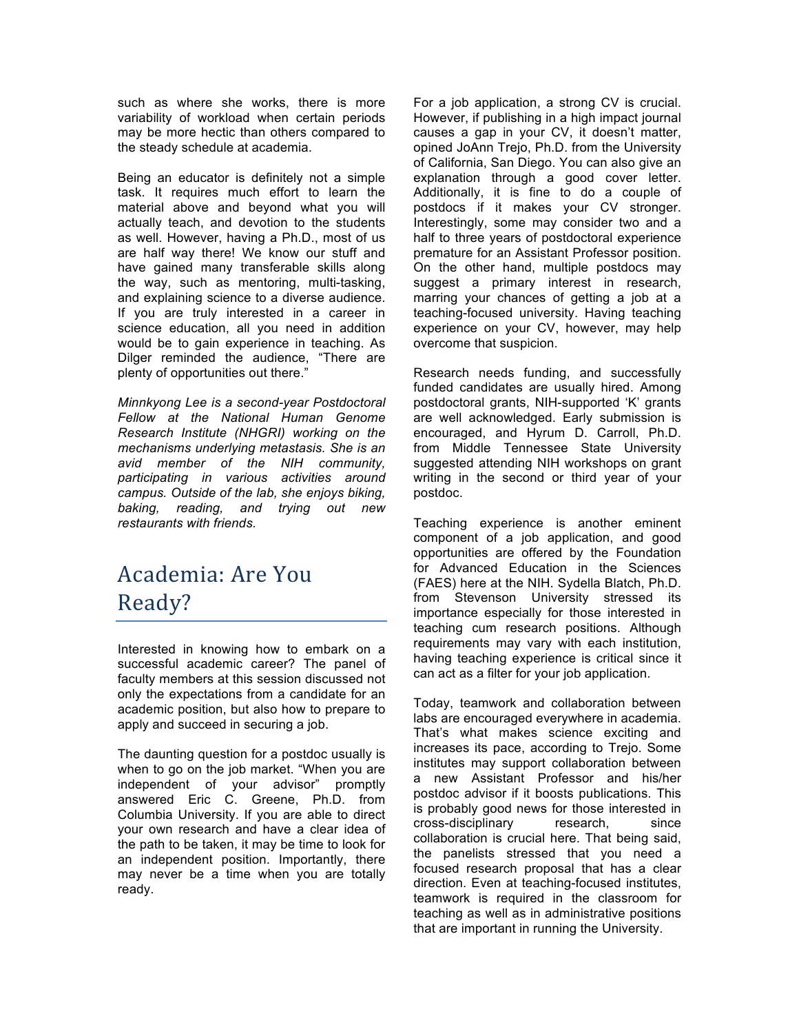such as where she works, there is more variability of workload when certain periods may be more hectic than others compared to the steady schedule at academia.

 Being an educator is definitely not a simple task. It requires much effort to learn the material above and beyond what you will actually teach, and devotion to the students as well. However, having a Ph.D., most of us are half way there! We know our stuff and the way, such as mentoring, multi-tasking, If you are truly interested in a career in science education, all you need in addition would be to gain experience in teaching. As Dilger reminded the audience, "There are plenty of opportunities out there." have gained many transferable skills along and explaining science to a diverse audience.

 *Minnkyong Lee is a second-year Postdoctoral Fellow at the National Human Genome Research Institute (NHGRI) working on the mechanisms underlying metastasis. She is an avid member of the NIH community, participating in various activities around campus. Outside of the lab, she enjoys biking, baking, reading, and trying out new restaurants with friends.* 

# Academia: Are You Ready?

 Interested in knowing how to embark on a successful academic career? The panel of faculty members at this session discussed not only the expectations from a candidate for an academic position, but also how to prepare to apply and succeed in securing a job.

 The daunting question for a postdoc usually is when to go on the job market. "When you are independent of your advisor" promptly Columbia University. If you are able to direct your own research and have a clear idea of the path to be taken, it may be time to look for an independent position. Importantly, there may never be a time when you are totally answered Eric C. Greene, Ph.D. from ready.

 For a job application, a strong CV is crucial. However, if publishing in a high impact journal causes a gap in your CV, it doesn't matter, opined JoAnn Trejo, Ph.D. from the University of California, San Diego. You can also give an explanation through a good cover letter. Additionally, it is fine to do a couple of postdocs if it makes your CV stronger. Interestingly, some may consider two and a half to three years of postdoctoral experience On the other hand, multiple postdocs may suggest a primary interest in research, marring your chances of getting a job at a teaching-focused university. Having teaching experience on your CV, however, may help overcome that suspicion. premature for an Assistant Professor position.

 Research needs funding, and successfully funded candidates are usually hired. Among postdoctoral grants, NIH-supported 'K' grants are well acknowledged. Early submission is from Middle Tennessee State University suggested attending NIH workshops on grant writing in the second or third year of your encouraged, and Hyrum D. Carroll, Ph.D. postdoc.

 Teaching experience is another eminent component of a job application, and good for Advanced Education in the Sciences from Stevenson University stressed its importance especially for those interested in teaching cum research positions. Although requirements may vary with each institution, having teaching experience is critical since it can act as a filter for your job application. opportunities are offered by the Foundation (FAES) here at the NIH. Sydella Blatch, Ph.D.

 Today, teamwork and collaboration between That's what makes science exciting and increases its pace, according to Trejo. Some institutes may support collaboration between a new Assistant Professor and his/her postdoc advisor if it boosts publications. This is probably good news for those interested in collaboration is crucial here. That being said, focused research proposal that has a clear teamwork is required in the classroom for teaching as well as in administrative positions labs are encouraged everywhere in academia. cross-disciplinary research, since the panelists stressed that you need a direction. Even at teaching-focused institutes, that are important in running the University.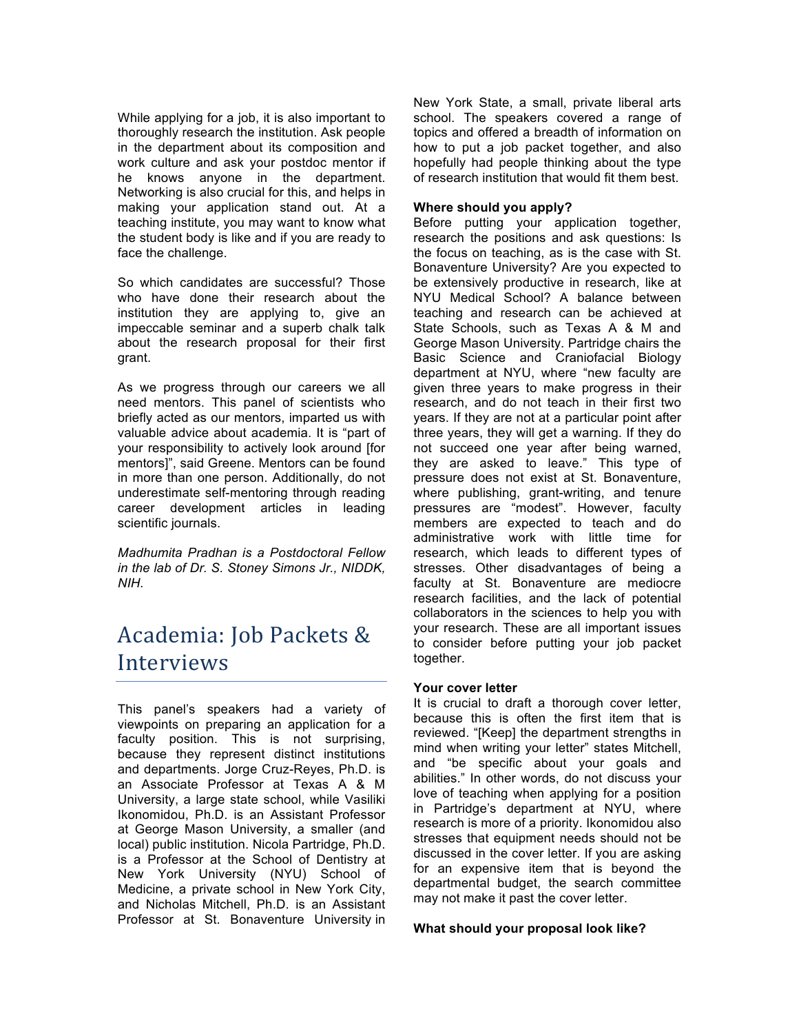While applying for a job, it is also important to thoroughly research the institution. Ask people in the department about its composition and work culture and ask your postdoc mentor if Networking is also crucial for this, and helps in making your application stand out. At a teaching institute, you may want to know what the student body is like and if you are ready to he knows anyone in the department. face the challenge.

 So which candidates are successful? Those who have done their research about the institution they are applying to, give an impeccable seminar and a superb chalk talk about the research proposal for their first grant.

 As we progress through our careers we all need mentors. This panel of scientists who briefly acted as our mentors, imparted us with valuable advice about academia. It is "part of mentors]", said Greene. Mentors can be found in more than one person. Additionally, do not underestimate self-mentoring through reading career development articles in leading your responsibility to actively look around [for scientific journals.

 *Madhumita Pradhan is a Postdoctoral Fellow in the lab of Dr. S. Stoney Simons Jr., NIDDK, NIH.* 

# Academia: Job Packets & Interviews

 This panel's speakers had a variety of viewpoints on preparing an application for a faculty position. This is not surprising, because they represent distinct institutions an Associate Professor at Texas A & M University, a large state school, while Vasiliki Ikonomidou, Ph.D. is an Assistant Professor at George Mason University, a smaller (and local) public institution. Nicola Partridge, Ph.D. is a Professor at the School of Dentistry at New York University (NYU) School of Medicine, a private school in New York City, and Nicholas Mitchell, Ph.D. is an Assistant Professor at St. Bonaventure University in and departments. Jorge Cruz-Reyes, Ph.D. is

 New York State, a small, private liberal arts school. The speakers covered a range of topics and offered a breadth of information on how to put a job packet together, and also of research institution that would fit them best. hopefully had people thinking about the type

#### **Where should you apply?**

 Before putting your application together, research the positions and ask questions: Is the focus on teaching, as is the case with St. Bonaventure University? Are you expected to be extensively productive in research, like at NYU Medical School? A balance between teaching and research can be achieved at State Schools, such as Texas A & M and George Mason University. Partridge chairs the Basic Science and Craniofacial Biology department at NYU, where "new faculty are given three years to make progress in their research, and do not teach in their first two years. If they are not at a particular point after three years, they will get a warning. If they do not succeed one year after being warned, they are asked to leave." This type of pressure does not exist at St. Bonaventure, where publishing, grant-writing, and tenure pressures are "modest". However, faculty members are expected to teach and do research, which leads to different types of stresses. Other disadvantages of being a research facilities, and the lack of potential collaborators in the sciences to help you with your research. These are all important issues to consider before putting your job packet administrative work with little time for faculty at St. Bonaventure are mediocre together.

#### **Your cover letter**

 It is crucial to draft a thorough cover letter, because this is often the first item that is reviewed. "[Keep] the department strengths in mind when writing your letter" states Mitchell, and "be specific about your goals and abilities." In other words, do not discuss your love of teaching when applying for a position in Partridge's department at NYU, where research is more of a priority. Ikonomidou also stresses that equipment needs should not be discussed in the cover letter. If you are asking for an expensive item that is beyond the departmental budget, the search committee may not make it past the cover letter.

#### **What should your proposal look like?**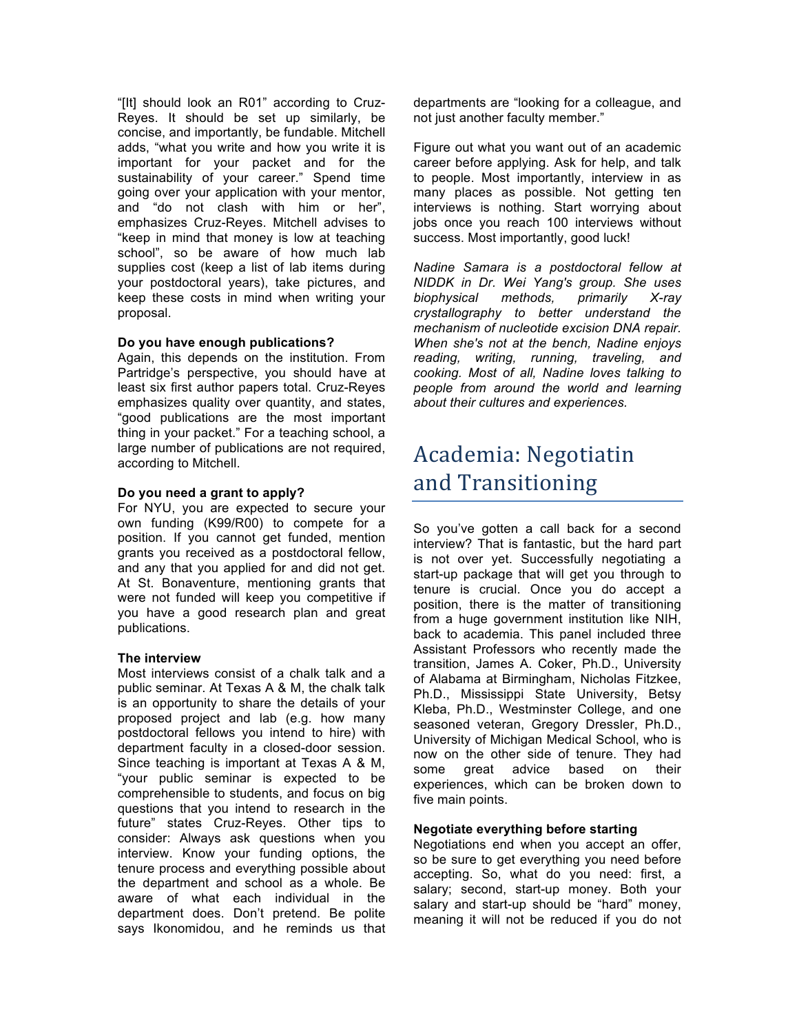"[It] should look an R01" according to Cruz- Reyes. It should be set up similarly, be concise, and importantly, be fundable. Mitchell adds, "what you write and how you write it is sustainability of your career." Spend time going over your application with your mentor, and "do not clash with him or her", emphasizes Cruz-Reyes. Mitchell advises to "keep in mind that money is low at teaching school", so be aware of how much lab supplies cost (keep a list of lab items during your postdoctoral years), take pictures, and keep these costs in mind when writing your proposal. important for your packet and for the

#### **Do you have enough publications?**

 Again, this depends on the institution. From least six first author papers total. Cruz-Reyes emphasizes quality over quantity, and states, "good publications are the most important thing in your packet." For a teaching school, a large number of publications are not required, according to Mitchell. Partridge's perspective, you should have at

#### **Do you need a grant to apply?**

 For NYU, you are expected to secure your own funding (K99/R00) to compete for a position. If you cannot get funded, mention and any that you applied for and did not get. At St. Bonaventure, mentioning grants that were not funded will keep you competitive if you have a good research plan and great grants you received as a postdoctoral fellow, publications.

#### **The interview**

 Most interviews consist of a chalk talk and a public seminar. At Texas A & M, the chalk talk is an opportunity to share the details of your proposed project and lab (e.g. how many postdoctoral fellows you intend to hire) with department faculty in a closed-door session. Since teaching is important at Texas A & M, "your public seminar is expected to be comprehensible to students, and focus on big questions that you intend to research in the future" states Cruz-Reyes. Other tips to consider: Always ask questions when you interview. Know your funding options, the tenure process and everything possible about the department and school as a whole. Be aware of what each individual in the department does. Don't pretend. Be polite says Ikonomidou, and he reminds us that

 not just another faculty member." departments are "looking for a colleague, and

 Figure out what you want out of an academic career before applying. Ask for help, and talk to people. Most importantly, interview in as many places as possible. Not getting ten interviews is nothing. Start worrying about jobs once you reach 100 interviews without success. Most importantly, good luck!

 *Nadine Samara is a postdoctoral fellow at NIDDK in Dr. Wei Yang's group. She uses crystallography to better understand the When she's not at the bench, Nadine enjoys reading, writing, running, traveling, and cooking. Most of all, Nadine loves talking to about their cultures and experiences. biophysical methods, primarily X-ray mechanism of nucleotide excision DNA repair. people from around the world and learning* 

### Academia: Negotiatin and Transitioning

 So you've gotten a call back for a second interview? That is fantastic, but the hard part is not over yet. Successfully negotiating a start-up package that will get you through to tenure is crucial. Once you do accept a position, there is the matter of transitioning from a huge government institution like NIH, back to academia. This panel included three Assistant Professors who recently made the transition, James A. Coker, Ph.D., University of Alabama at Birmingham, Nicholas Fitzkee, University of Michigan Medical School, who is now on the other side of tenure. They had some great advice based on their Ph.D., Mississippi State University, Betsy Kleba, Ph.D., Westminster College, and one seasoned veteran, Gregory Dressler, Ph.D., experiences, which can be broken down to five main points.

#### **Negotiate everything before starting**

 Negotiations end when you accept an offer, so be sure to get everything you need before accepting. So, what do you need: first, a salary and start-up should be "hard" money, meaning it will not be reduced if you do not salary; second, start-up money. Both your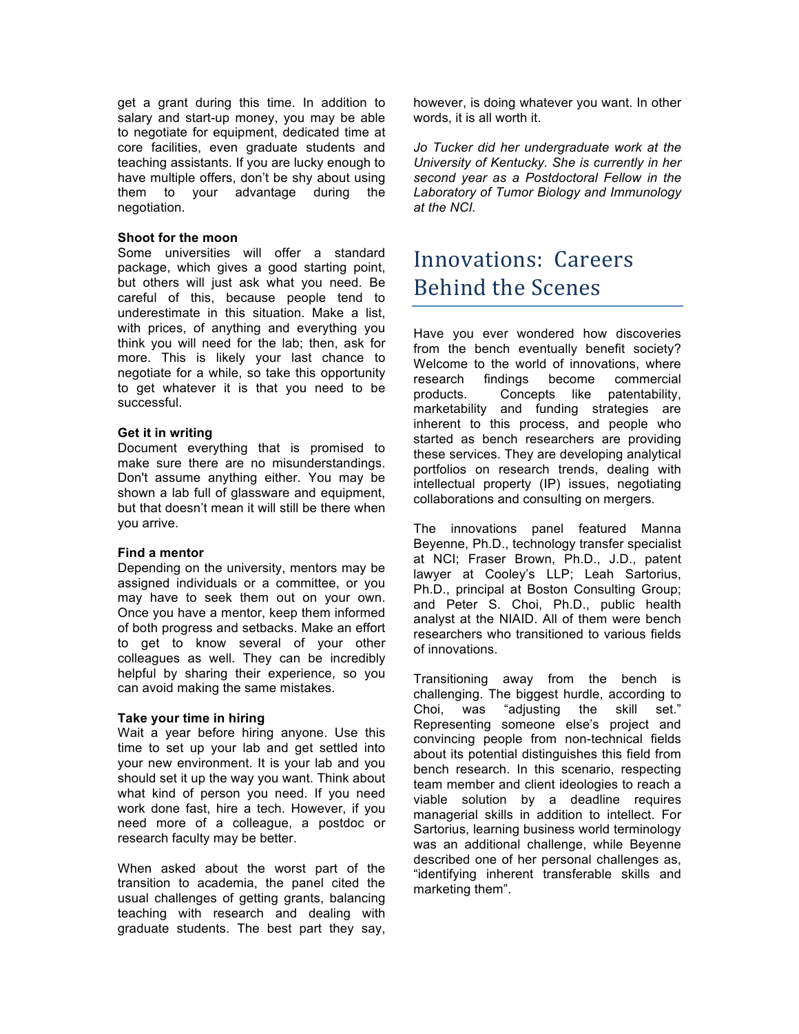get a grant during this time. In addition to salary and start-up money, you may be able to negotiate for equipment, dedicated time at core facilities, even graduate students and teaching assistants. If you are lucky enough to have multiple offers, don't be shy about using them to your advantage during the negotiation.

#### **Shoot for the moon**

 Some universities will offer a standard but others will just ask what you need. Be careful of this, because people tend to underestimate in this situation. Make a list, with prices, of anything and everything you think you will need for the lab; then, ask for more. This is likely your last chance to negotiate for a while, so take this opportunity to get whatever it is that you need to be package, which gives a good starting point, successful.

#### **Get it in writing**

 Document everything that is promised to make sure there are no misunderstandings. Don't assume anything either. You may be shown a lab full of glassware and equipment, but that doesn't mean it will still be there when you arrive.

#### **Find a mentor**

 Depending on the university, mentors may be assigned individuals or a committee, or you may have to seek them out on your own. Once you have a mentor, keep them informed of both progress and setbacks. Make an effort to get to know several of your other colleagues as well. They can be incredibly helpful by sharing their experience, so you can avoid making the same mistakes.

#### **Take your time in hiring**

 Wait a year before hiring anyone. Use this time to set up your lab and get settled into your new environment. It is your lab and you should set it up the way you want. Think about what kind of person you need. If you need work done fast, hire a tech. However, if you need more of a colleague, a postdoc or research faculty may be better.

 When asked about the worst part of the transition to academia, the panel cited the usual challenges of getting grants, balancing teaching with research and dealing with graduate students. The best part they say,  however, is doing whatever you want. In other words, it is all worth it.

 *Jo Tucker did her undergraduate work at the University of Kentucky. She is currently in her second year as a Postdoctoral Fellow in the Laboratory of Tumor Biology and Immunology at the NCI.* 

### Innovations: Careers Behind the Scenes

 Have you ever wondered how discoveries from the bench eventually benefit society? Welcome to the world of innovations, where research findings become commercial products. marketability and funding strategies are inherent to this process, and people who these services. They are developing analytical intellectual property (IP) issues, negotiating collaborations and consulting on mergers. Concepts like patentability, started as bench researchers are providing portfolios on research trends, dealing with

 Beyenne, Ph.D., technology transfer specialist lawyer at Cooley's LLP; Leah Sartorius, Ph.D., principal at Boston Consulting Group; and Peter S. Choi, Ph.D., public health analyst at the NIAID. All of them were bench researchers who transitioned to various fields The innovations panel featured Manna at NCI; Fraser Brown, Ph.D., J.D., patent of innovations.

 Transitioning away from the bench is challenging. The biggest hurdle, according to Choi, was "adjusting the skill set." Representing someone else's project and convincing people from non-technical fields about its potential distinguishes this field from bench research. In this scenario, respecting team member and client ideologies to reach a viable solution by a deadline requires managerial skills in addition to intellect. For Sartorius, learning business world terminology was an additional challenge, while Beyenne described one of her personal challenges as, "identifying inherent transferable skills and marketing them".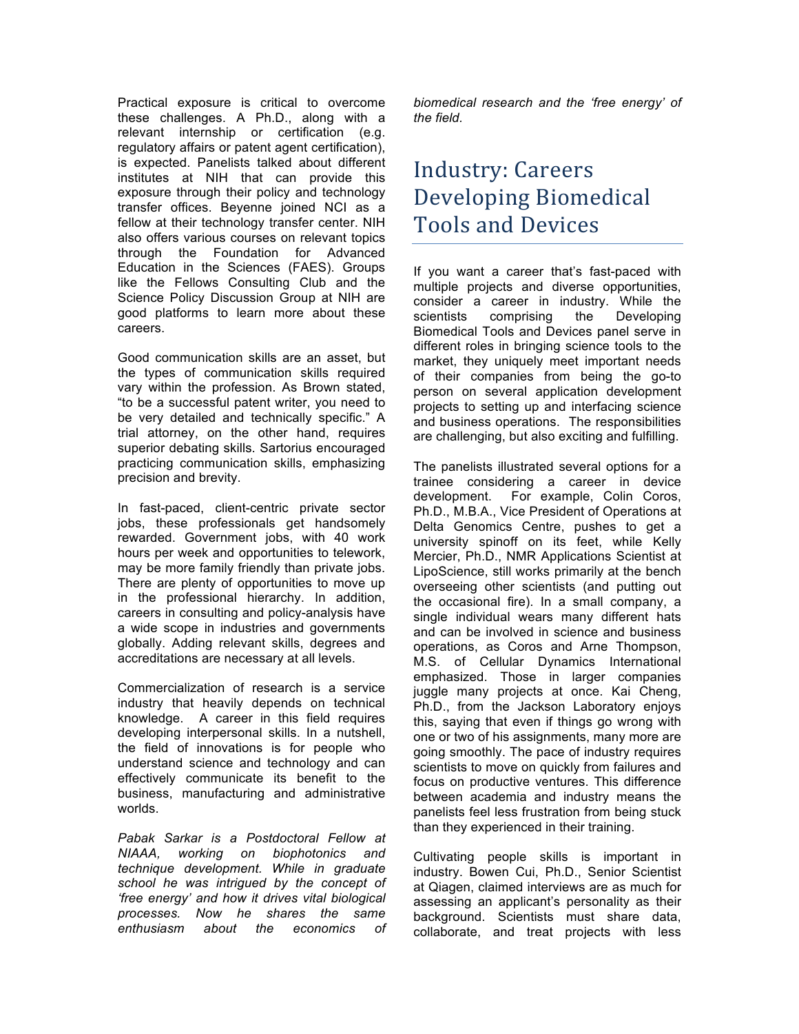Practical exposure is critical to overcome these challenges. A Ph.D., along with a relevant internship or certification (e.g. regulatory affairs or patent agent certification), is expected. Panelists talked about different institutes at NIH that can provide this exposure through their policy and technology transfer offices. Beyenne joined NCI as a fellow at their technology transfer center. NIH also offers various courses on relevant topics through the Foundation for Advanced Education in the Sciences (FAES). Groups like the Fellows Consulting Club and the Science Policy Discussion Group at NIH are good platforms to learn more about these careers.

 Good communication skills are an asset, but the types of communication skills required vary within the profession. As Brown stated, "to be a successful patent writer, you need to be very detailed and technically specific." A trial attorney, on the other hand, requires superior debating skills. Sartorius encouraged practicing communication skills, emphasizing precision and brevity.

 jobs, these professionals get handsomely rewarded. Government jobs, with 40 work hours per week and opportunities to telework, may be more family friendly than private jobs. There are plenty of opportunities to move up in the professional hierarchy. In addition, careers in consulting and policy-analysis have a wide scope in industries and governments globally. Adding relevant skills, degrees and accreditations are necessary at all levels. In fast-paced, client-centric private sector

 Commercialization of research is a service industry that heavily depends on technical knowledge. A career in this field requires developing interpersonal skills. In a nutshell, the field of innovations is for people who effectively communicate its benefit to the understand science and technology and can business, manufacturing and administrative worlds.

 *Pabak Sarkar is a Postdoctoral Fellow at NIAAA, working on biophotonics and technique development. While in graduate school he was intrigued by the concept of 'free energy' and how it drives vital biological processes. Now he shares the same enthusiasm about the economics of* 

 *biomedical research and the 'free energy' of the field.* 

# Industry: Careers Developing Biomedical Tools and Devices

 If you want a career that's fast-paced with multiple projects and diverse opportunities, consider a career in industry. While the scientists comprising the Developing Biomedical Tools and Devices panel serve in different roles in bringing science tools to the market, they uniquely meet important needs of their companies from being the go-to and business operations. The responsibilities are challenging, but also exciting and fulfilling. person on several application development projects to setting up and interfacing science

 The panelists illustrated several options for a trainee considering a career in device development. For example, Colin Coros, Ph.D., M.B.A., Vice President of Operations at Delta Genomics Centre, pushes to get a university spinoff on its feet, while Kelly Mercier, Ph.D., NMR Applications Scientist at LipoScience, still works primarily at the bench overseeing other scientists (and putting out the occasional fire). In a small company, a single individual wears many different hats operations, as Coros and Arne Thompson, M.S. of Cellular Dynamics International emphasized. Those in larger companies juggle many projects at once. Kai Cheng, Ph.D., from the Jackson Laboratory enjoys this, saying that even if things go wrong with one or two of his assignments, many more are going smoothly. The pace of industry requires scientists to move on quickly from failures and focus on productive ventures. This difference between academia and industry means the panelists feel less frustration from being stuck and can be involved in science and business than they experienced in their training.

 Cultivating people skills is important in industry. Bowen Cui, Ph.D., Senior Scientist at Qiagen, claimed interviews are as much for assessing an applicant's personality as their background. Scientists must share data, collaborate, and treat projects with less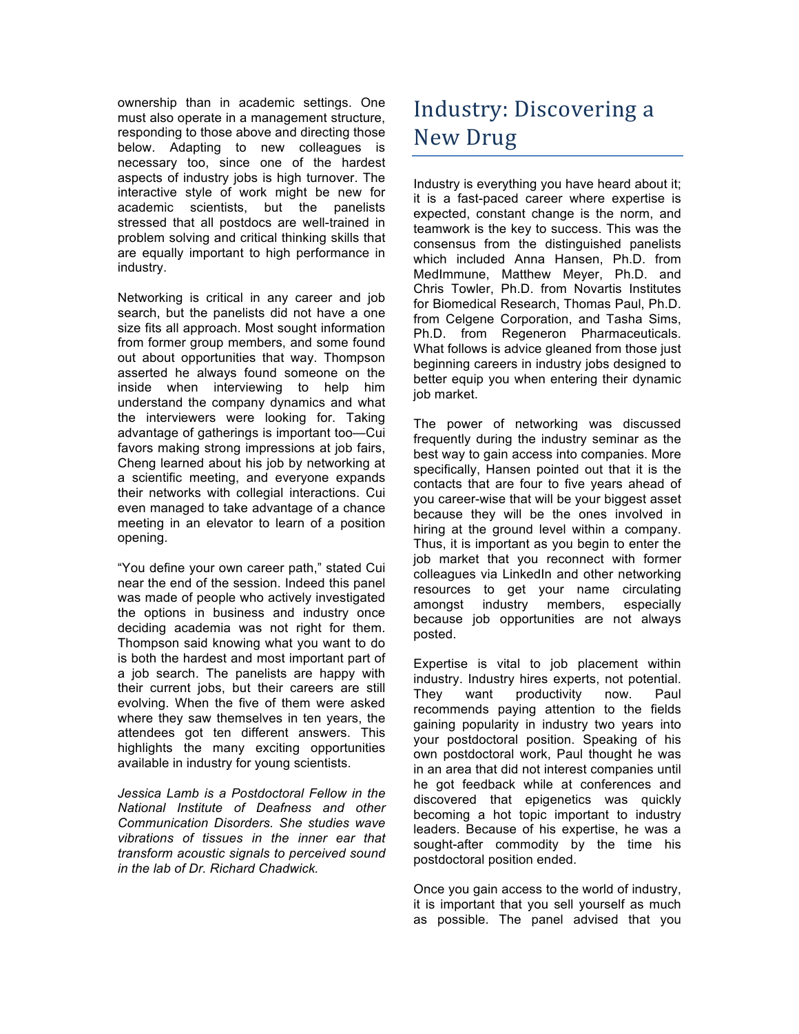ownership than in academic settings. One must also operate in a management structure, below. Adapting to new colleagues is necessary too, since one of the hardest aspects of industry jobs is high turnover. The interactive style of work might be new for academic scientists, but the panelists stressed that all postdocs are well-trained in problem solving and critical thinking skills that are equally important to high performance in responding to those above and directing those industry.

 Networking is critical in any career and job search, but the panelists did not have a one size fits all approach. Most sought information from former group members, and some found out about opportunities that way. Thompson asserted he always found someone on the inside when interviewing to help him understand the company dynamics and what the interviewers were looking for. Taking advantage of gatherings is important too—Cui favors making strong impressions at job fairs, Cheng learned about his job by networking at a scientific meeting, and everyone expands their networks with collegial interactions. Cui even managed to take advantage of a chance meeting in an elevator to learn of a position opening.

 "You define your own career path," stated Cui near the end of the session. Indeed this panel was made of people who actively investigated the options in business and industry once deciding academia was not right for them. Thompson said knowing what you want to do is both the hardest and most important part of a job search. The panelists are happy with their current jobs, but their careers are still evolving. When the five of them were asked where they saw themselves in ten years, the attendees got ten different answers. This available in industry for young scientists. highlights the many exciting opportunities

 *Jessica Lamb is a Postdoctoral Fellow in the National Institute of Deafness and other Communication Disorders. She studies wave vibrations of tissues in the inner ear that transform acoustic signals to perceived sound in the lab of Dr. Richard Chadwick.* 

# Industry: Discovering a New Drug

 Industry is everything you have heard about it; it is a fast-paced career where expertise is expected, constant change is the norm, and teamwork is the key to success. This was the consensus from the distinguished panelists which included Anna Hansen, Ph.D. from MedImmune, Matthew Meyer, Ph.D. and Chris Towler, Ph.D. from Novartis Institutes for Biomedical Research, Thomas Paul, Ph.D. from Celgene Corporation, and Tasha Sims, What follows is advice gleaned from those just beginning careers in industry jobs designed to better equip you when entering their dynamic Ph.D. from Regeneron Pharmaceuticals. job market.

 The power of networking was discussed frequently during the industry seminar as the best way to gain access into companies. More specifically, Hansen pointed out that it is the contacts that are four to five years ahead of you career-wise that will be your biggest asset because they will be the ones involved in Thus, it is important as you begin to enter the job market that you reconnect with former colleagues via LinkedIn and other networking resources to get your name circulating amongst industry members, especially because job opportunities are not always hiring at the ground level within a company. posted.

 Expertise is vital to job placement within industry. Industry hires experts, not potential. They gaining popularity in industry two years into your postdoctoral position. Speaking of his own postdoctoral work, Paul thought he was in an area that did not interest companies until he got feedback while at conferences and discovered that epigenetics was quickly becoming a hot topic important to industry leaders. Because of his expertise, he was a sought-after commodity by the time his want productivity now. Paul recommends paying attention to the fields postdoctoral position ended.

 it is important that you sell yourself as much as possible. The panel advised that you Once you gain access to the world of industry,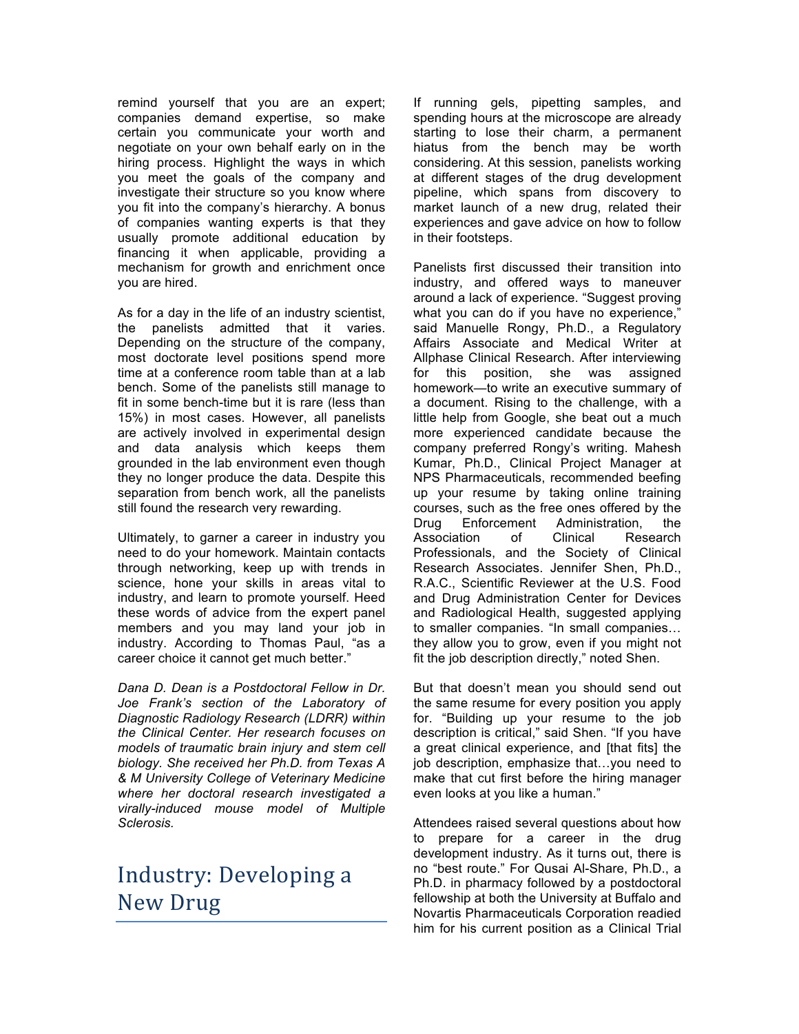remind yourself that you are an expert; companies demand expertise, so make certain you communicate your worth and negotiate on your own behalf early on in the hiring process. Highlight the ways in which you meet the goals of the company and investigate their structure so you know where you fit into the company's hierarchy. A bonus of companies wanting experts is that they financing it when applicable, providing a mechanism for growth and enrichment once you are hired. usually promote additional education by

 As for a day in the life of an industry scientist, the panelists admitted that it varies. Depending on the structure of the company, most doctorate level positions spend more time at a conference room table than at a lab bench. Some of the panelists still manage to fit in some bench-time but it is rare (less than 15%) in most cases. However, all panelists and data analysis which keeps them they no longer produce the data. Despite this separation from bench work, all the panelists still found the research very rewarding. are actively involved in experimental design grounded in the lab environment even though

 Ultimately, to garner a career in industry you need to do your homework. Maintain contacts through networking, keep up with trends in science, hone your skills in areas vital to industry, and learn to promote yourself. Heed these words of advice from the expert panel members and you may land your job in industry. According to Thomas Paul, "as a career choice it cannot get much better."

 *Dana D. Dean is a Postdoctoral Fellow in Dr. Joe Frank's section of the Laboratory of Diagnostic Radiology Research (LDRR) within the Clinical Center. Her research focuses on models of traumatic brain injury and stem cell biology. She received her Ph.D. from Texas A & M University College of Veterinary Medicine where her doctoral research investigated a virally-induced mouse model of Multiple Sclerosis.* 

# Industry: Developing a New Drug

 spending hours at the microscope are already starting to lose their charm, a permanent hiatus from the bench may be worth considering. At this session, panelists working at different stages of the drug development pipeline, which spans from discovery to market launch of a new drug, related their experiences and gave advice on how to follow in their footsteps. If running gels, pipetting samples, and

 Panelists first discussed their transition into industry, and offered ways to maneuver around a lack of experience. "Suggest proving what you can do if you have no experience," said Manuelle Rongy, Ph.D., a Regulatory Affairs Associate and Medical Writer at Allphase Clinical Research. After interviewing for homework—to write an executive summary of a document. Rising to the challenge, with a little help from Google, she beat out a much more experienced candidate because the company preferred Rongy's writing. Mahesh Kumar, Ph.D., Clinical Project Manager at NPS Pharmaceuticals, recommended beefing courses, such as the free ones offered by the Drug Enforcement Administration, the Association of Clinical Research Professionals, and the Society of Clinical Research Associates. Jennifer Shen, Ph.D., R.A.C., Scientific Reviewer at the U.S. Food and Drug Administration Center for Devices and Radiological Health, suggested applying to smaller companies. "In small companies… they allow you to grow, even if you might not this position, she was assigned up your resume by taking online training fit the job description directly," noted Shen.

 But that doesn't mean you should send out the same resume for every position you apply for. "Building up your resume to the job description is critical," said Shen. "If you have a great clinical experience, and [that fits] the make that cut first before the hiring manager even looks at you like a human." job description, emphasize that…you need to

 Attendees raised several questions about how to prepare for a career in the drug development industry. As it turns out, there is no "best route." For Qusai Al-Share, Ph.D., a Ph.D. in pharmacy followed by a postdoctoral fellowship at both the University at Buffalo and Novartis Pharmaceuticals Corporation readied him for his current position as a Clinical Trial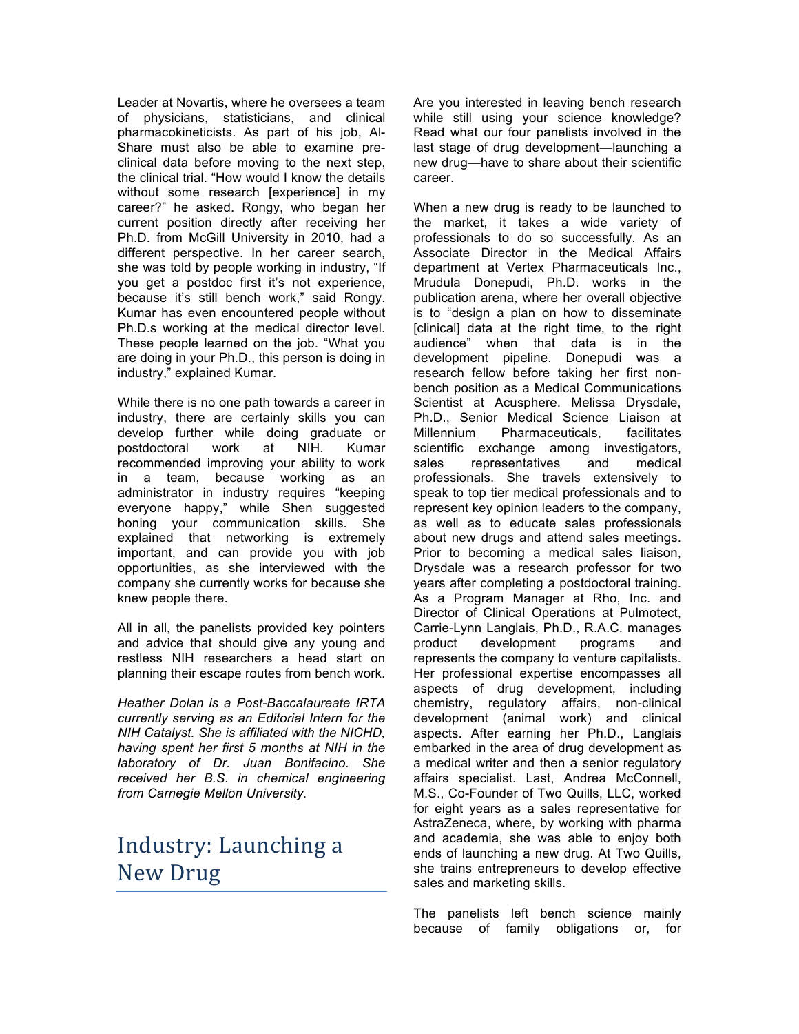Leader at Novartis, where he oversees a team pharmacokineticists. As part of his job, Al- Share must also be able to examine pre- clinical data before moving to the next step, the clinical trial. "How would I know the details without some research [experience] in my career?" he asked. Rongy, who began her current position directly after receiving her Ph.D. from McGill University in 2010, had a different perspective. In her career search, she was told by people working in industry, "If you get a postdoc first it's not experience, because it's still bench work," said Rongy. Kumar has even encountered people without Ph.D.s working at the medical director level. These people learned on the job. "What you are doing in your Ph.D., this person is doing in industry," explained Kumar. of physicians, statisticians, and clinical

 While there is no one path towards a career in industry, there are certainly skills you can postdoctoral work at NIH. Kumar recommended improving your ability to work in administrator in industry requires "keeping important, and can provide you with job opportunities, as she interviewed with the company she currently works for because she knew people there. develop further while doing graduate or a team, because working as an everyone happy," while Shen suggested honing your communication skills. She explained that networking is extremely

 All in all, the panelists provided key pointers restless NIH researchers a head start on planning their escape routes from bench work. and advice that should give any young and

 *Heather Dolan is a Post-Baccalaureate IRTA currently serving as an Editorial Intern for the NIH Catalyst. She is affiliated with the NICHD, having spent her first 5 months at NIH in the laboratory of Dr. Juan Bonifacino. She received her B.S. in chemical engineering from Carnegie Mellon University.* 

# Industry: Launching a New Drug

 Are you interested in leaving bench research while still using your science knowledge? Read what our four panelists involved in the last stage of drug development—launching a new drug—have to share about their scientific career.

 When a new drug is ready to be launched to the market, it takes a wide variety of professionals to do so successfully. As an Associate Director in the Medical Affairs department at Vertex Pharmaceuticals Inc., Mrudula Donepudi, Ph.D. works in the publication arena, where her overall objective is to "design a plan on how to disseminate [clinical] data at the right time, to the right audience" when that data is in the development pipeline. Donepudi was a research fellow before taking her first non- bench position as a Medical Communications Scientist at Acusphere. Melissa Drysdale, Ph.D., Senior Medical Science Liaison at scientific exchange among investigators, speak to top tier medical professionals and to as well as to educate sales professionals about new drugs and attend sales meetings. Prior to becoming a medical sales liaison, Drysdale was a research professor for two years after completing a postdoctoral training. As a Program Manager at Rho, Inc. and Director of Clinical Operations at Pulmotect, represents the company to venture capitalists. Her professional expertise encompasses all aspects of drug development, including aspects. After earning her Ph.D., Langlais embarked in the area of drug development as a medical writer and then a senior regulatory affairs specialist. Last, Andrea McConnell, M.S., Co-Founder of Two Quills, LLC, worked for eight years as a sales representative for AstraZeneca, where, by working with pharma and academia, she was able to enjoy both ends of launching a new drug. At Two Quills, she trains entrepreneurs to develop effective sales and marketing skills. Millennium Pharmaceuticals, facilitates sales representatives and medical professionals. She travels extensively to represent key opinion leaders to the company, Carrie-Lynn Langlais, Ph.D., R.A.C. manages product development programs and chemistry, regulatory affairs, non-clinical development (animal work) and clinical

 The panelists left bench science mainly because of family obligations or, for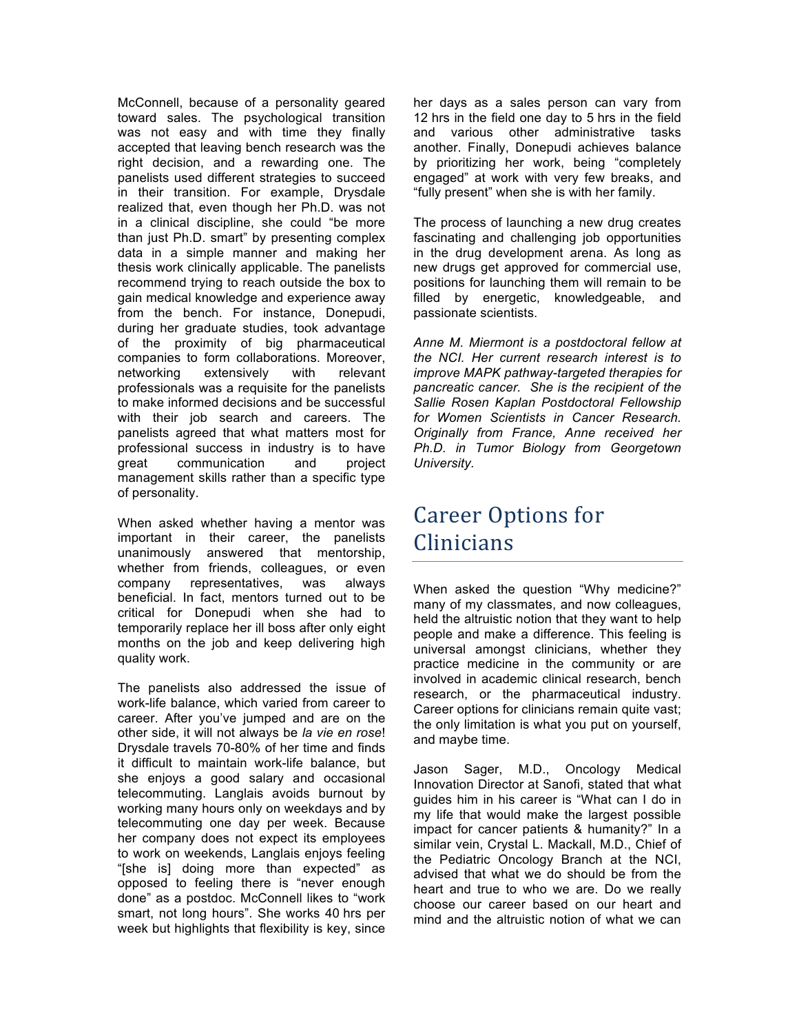McConnell, because of a personality geared toward sales. The psychological transition was not easy and with time they finally right decision, and a rewarding one. The panelists used different strategies to succeed in their transition. For example, Drysdale realized that, even though her Ph.D. was not in a clinical discipline, she could "be more than just Ph.D. smart" by presenting complex thesis work clinically applicable. The panelists recommend trying to reach outside the box to from the bench. For instance, Donepudi, during her graduate studies, took advantage of the proximity of big pharmaceutical professionals was a requisite for the panelists to make informed decisions and be successful with their job search and careers. The panelists agreed that what matters most for professional success in industry is to have management skills rather than a specific type accepted that leaving bench research was the data in a simple manner and making her gain medical knowledge and experience away companies to form collaborations. Moreover, networking extensively with relevant great communication and project of personality.

 When asked whether having a mentor was important in their career, the panelists whether from friends, colleagues, or even was critical for Donepudi when she had to temporarily replace her ill boss after only eight months on the job and keep delivering high quality work. unanimously answered that mentorship, company representatives, was always beneficial. In fact, mentors turned out to be

 The panelists also addressed the issue of work-life balance, which varied from career to career. After you've jumped and are on the other side, it will not always be *la vie en rose*! Drysdale travels 70-80% of her time and finds it difficult to maintain work-life balance, but she enjoys a good salary and occasional telecommuting. Langlais avoids burnout by working many hours only on weekdays and by telecommuting one day per week. Because her company does not expect its employees to work on weekends, Langlais enjoys feeling "[she is] doing more than expected" as opposed to feeling there is "never enough done" as a postdoc. McConnell likes to "work smart, not long hours". She works 40 hrs per week but highlights that flexibility is key, since

 her days as a sales person can vary from and various other administrative tasks another. Finally, Donepudi achieves balance by prioritizing her work, being "completely engaged" at work with very few breaks, and "fully present" when she is with her family. 12 hrs in the field one day to 5 hrs in the field

 The process of launching a new drug creates fascinating and challenging job opportunities in the drug development arena. As long as new drugs get approved for commercial use, positions for launching them will remain to be filled by energetic, knowledgeable, and passionate scientists.

 *Anne M. Miermont is a postdoctoral fellow at the NCI. Her current research interest is to improve MAPK pathway-targeted therapies for pancreatic cancer. She is the recipient of the for Women Scientists in Cancer Research. Originally from France, Anne received her Ph.D. in Tumor Biology from Georgetown Sallie Rosen Kaplan Postdoctoral Fellowship University.* 

### Career Options for Clinicians

 When asked the question "Why medicine?" many of my classmates, and now colleagues, held the altruistic notion that they want to help people and make a difference. This feeling is universal amongst clinicians, whether they practice medicine in the community or are involved in academic clinical research, bench research, or the pharmaceutical industry. Career options for clinicians remain quite vast; the only limitation is what you put on yourself, and maybe time.

 Jason Sager, M.D., Oncology Medical Innovation Director at Sanofi, stated that what guides him in his career is "What can I do in my life that would make the largest possible impact for cancer patients & humanity?" In a similar vein, Crystal L. Mackall, M.D., Chief of the Pediatric Oncology Branch at the NCI, advised that what we do should be from the heart and true to who we are. Do we really choose our career based on our heart and mind and the altruistic notion of what we can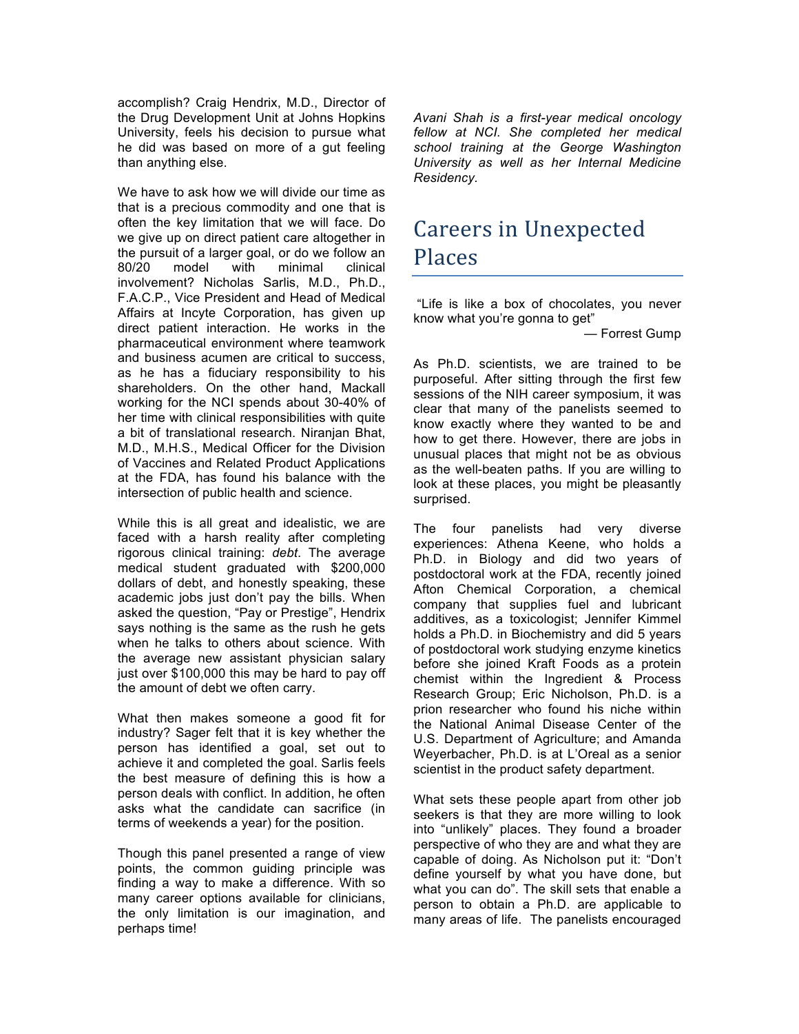accomplish? Craig Hendrix, M.D., Director of the Drug Development Unit at Johns Hopkins University, feels his decision to pursue what he did was based on more of a gut feeling than anything else.

 We have to ask how we will divide our time as that is a precious commodity and one that is often the key limitation that we will face. Do we give up on direct patient care altogether in the pursuit of a larger goal, or do we follow an 80/20 model with minimal clinical involvement? Nicholas Sarlis, M.D., Ph.D., F.A.C.P., Vice President and Head of Medical Affairs at Incyte Corporation, has given up direct patient interaction. He works in the as he has a fiduciary responsibility to his shareholders. On the other hand, Mackall working for the NCI spends about 30-40% of her time with clinical responsibilities with quite a bit of translational research. Niranjan Bhat, M.D., M.H.S., Medical Officer for the Division of Vaccines and Related Product Applications at the FDA, has found his balance with the intersection of public health and science. pharmaceutical environment where teamwork and business acumen are critical to success,

 While this is all great and idealistic, we are faced with a harsh reality after completing rigorous clinical training: *debt*. The average medical student graduated with \$200,000 dollars of debt, and honestly speaking, these academic jobs just don't pay the bills. When asked the question, "Pay or Prestige", Hendrix says nothing is the same as the rush he gets when he talks to others about science. With the average new assistant physician salary just over \$100,000 this may be hard to pay off the amount of debt we often carry.

 What then makes someone a good fit for industry? Sager felt that it is key whether the person has identified a goal, set out to achieve it and completed the goal. Sarlis feels the best measure of defining this is how a person deals with conflict. In addition, he often asks what the candidate can sacrifice (in terms of weekends a year) for the position.

 Though this panel presented a range of view finding a way to make a difference. With so many career options available for clinicians, the only limitation is our imagination, and perhaps time! points, the common guiding principle was

 *Avani Shah is a first-year medical oncology fellow at NCI. She completed her medical school training at the George Washington University as well as her Internal Medicine Residency.* 

### Careers in Unexpected Places

 "Life is like a box of chocolates, you never know what you're gonna to get"

— Forrest Gump

 As Ph.D. scientists, we are trained to be purposeful. After sitting through the first few sessions of the NIH career symposium, it was clear that many of the panelists seemed to know exactly where they wanted to be and how to get there. However, there are jobs in unusual places that might not be as obvious as the well-beaten paths. If you are willing to look at these places, you might be pleasantly surprised.

 Ph.D. in Biology and did two years of postdoctoral work at the FDA, recently joined Afton Chemical Corporation, a chemical company that supplies fuel and lubricant additives, as a toxicologist; Jennifer Kimmel holds a Ph.D. in Biochemistry and did 5 years of postdoctoral work studying enzyme kinetics before she joined Kraft Foods as a protein chemist within the Ingredient & Process Research Group; Eric Nicholson, Ph.D. is a the National Animal Disease Center of the U.S. Department of Agriculture; and Amanda Weyerbacher, Ph.D. is at L'Oreal as a senior scientist in the product safety department. The four panelists had very diverse experiences: Athena Keene, who holds a prion researcher who found his niche within

 What sets these people apart from other job seekers is that they are more willing to look into "unlikely" places. They found a broader perspective of who they are and what they are capable of doing. As Nicholson put it: "Don't define yourself by what you have done, but what you can do". The skill sets that enable a many areas of life. The panelists encouraged person to obtain a Ph.D. are applicable to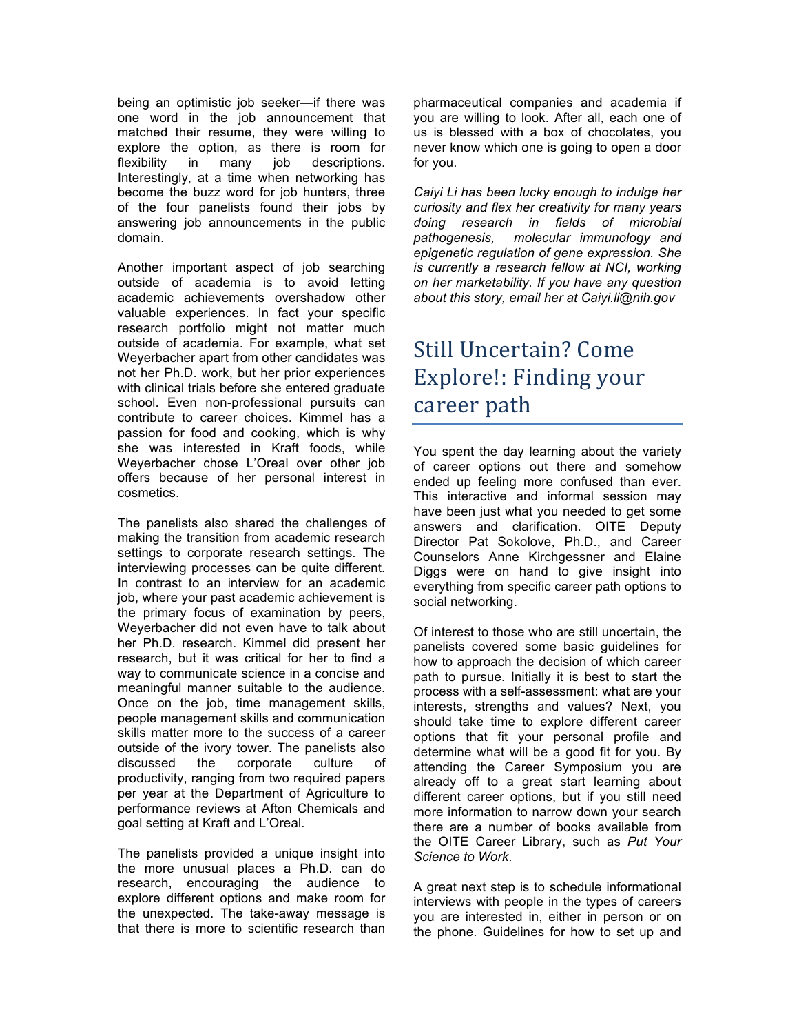one word in the job announcement that explore the option, as there is room for flexibility Interestingly, at a time when networking has become the buzz word for job hunters, three of the four panelists found their jobs by being an optimistic job seeker—if there was matched their resume, they were willing to in many job descriptions. answering job announcements in the public domain.

 Another important aspect of job searching academic achievements overshadow other valuable experiences. In fact your specific research portfolio might not matter much outside of academia. For example, what set Weyerbacher apart from other candidates was not her Ph.D. work, but her prior experiences with clinical trials before she entered graduate school. Even non-professional pursuits can contribute to career choices. Kimmel has a passion for food and cooking, which is why she was interested in Kraft foods, while Weyerbacher chose L'Oreal over other job offers because of her personal interest in outside of academia is to avoid letting cosmetics.

 The panelists also shared the challenges of making the transition from academic research settings to corporate research settings. The interviewing processes can be quite different. In contrast to an interview for an academic job, where your past academic achievement is the primary focus of examination by peers, Weyerbacher did not even have to talk about her Ph.D. research. Kimmel did present her research, but it was critical for her to find a way to communicate science in a concise and meaningful manner suitable to the audience. Once on the job, time management skills, people management skills and communication skills matter more to the success of a career outside of the ivory tower. The panelists also productivity, ranging from two required papers per year at the Department of Agriculture to performance reviews at Afton Chemicals and goal setting at Kraft and L'Oreal. discussed the corporate culture of

 The panelists provided a unique insight into the more unusual places a Ph.D. can do research, encouraging the audience to explore different options and make room for that there is more to scientific research than the unexpected. The take-away message is

 you are willing to look. After all, each one of us is blessed with a box of chocolates, you never know which one is going to open a door pharmaceutical companies and academia if for you.

 *Caiyi Li has been lucky enough to indulge her curiosity and flex her creativity for many years doing research in fields of microbial pathogenesis. is currently a research fellow at NCI, working on her marketability. If you have any question about this story, email her at Caiyi.li@nih.gov molecular immunology and epigenetic regulation of gene expression. She* 

# Still Uncertain? Come Explore!: Finding your career path

 You spent the day learning about the variety of career options out there and somehow have been just what you needed to get some answers and clarification. OITE Deputy Director Pat Sokolove, Ph.D., and Career Counselors Anne Kirchgessner and Elaine Diggs were on hand to give insight into everything from specific career path options to ended up feeling more confused than ever. This interactive and informal session may social networking.

 Of interest to those who are still uncertain, the panelists covered some basic guidelines for path to pursue. Initially it is best to start the process with a self-assessment: what are your interests, strengths and values? Next, you should take time to explore different career options that fit your personal profile and determine what will be a good fit for you. By already off to a great start learning about different career options, but if you still need more information to narrow down your search there are a number of books available from the OITE Career Library, such as *Put Your Science to Work*. how to approach the decision of which career attending the Career Symposium you are

 A great next step is to schedule informational interviews with people in the types of careers you are interested in, either in person or on the phone. Guidelines for how to set up and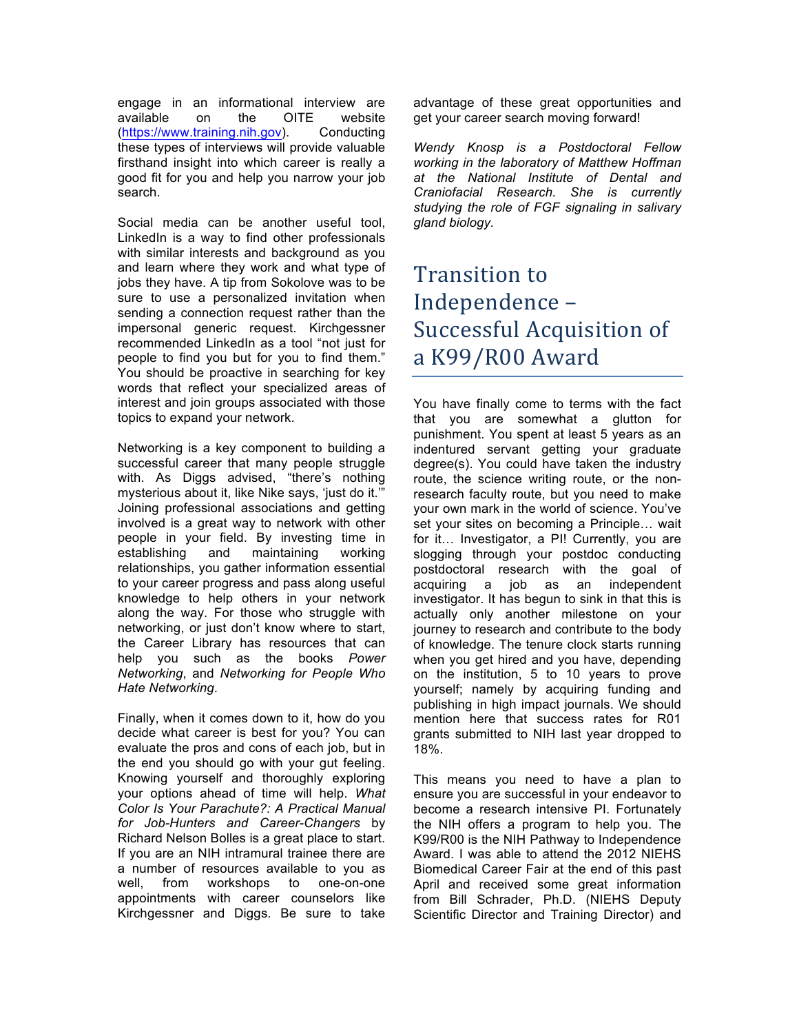engage in an informational interview are these types of interviews will provide valuable firsthand insight into which career is really a good fit for you and help you narrow your job available on the OITE website (https://www.training.nih.gov). Conducting search.

 Social media can be another useful tool, LinkedIn is a way to find other professionals with similar interests and background as you and learn where they work and what type of jobs they have. A tip from Sokolove was to be sure to use a personalized invitation when sending a connection request rather than the impersonal generic request. Kirchgessner recommended LinkedIn as a tool "not just for people to find you but for you to find them." You should be proactive in searching for key words that reflect your specialized areas of interest and join groups associated with those topics to expand your network.

 Networking is a key component to building a successful career that many people struggle with. As Diggs advised, "there's nothing mysterious about it, like Nike says, 'just do it.'" involved is a great way to network with other people in your field. By investing time in relationships, you gather information essential to your career progress and pass along useful knowledge to help others in your network along the way. For those who struggle with networking, or just don't know where to start, the Career Library has resources that can  *Networking*, and *Networking for People Who*  Joining professional associations and getting establishing and maintaining working help you such as the books *Power Hate Networking*.

 Finally, when it comes down to it, how do you decide what career is best for you? You can evaluate the pros and cons of each job, but in the end you should go with your gut feeling. Knowing yourself and thoroughly exploring your options ahead of time will help. *What Color Is Your Parachute?: A Practical Manual for Job-Hunters and Career-Changers* by Richard Nelson Bolles is a great place to start. If you are an NIH intramural trainee there are a number of resources available to you as well, Kirchgessner and Diggs. Be sure to take from workshops to one-on-one appointments with career counselors like

 get your career search moving forward! advantage of these great opportunities and

 *Wendy Knosp is a Postdoctoral Fellow working in the laboratory of Matthew Hoffman at the National Institute of Dental and Craniofacial Research. She is currently studying the role of FGF signaling in salivary gland biology.* 

### Transition to Independence-Successful Acquisition of a K99/R00 Award

 You have finally come to terms with the fact that you are somewhat a glutton for punishment. You spent at least 5 years as an indentured servant getting your graduate route, the science writing route, or the non- research faculty route, but you need to make your own mark in the world of science. You've set your sites on becoming a Principle… wait for it… Investigator, a PI! Currently, you are slogging through your postdoc conducting postdoctoral research with the goal of investigator. It has begun to sink in that this is actually only another milestone on your journey to research and contribute to the body of knowledge. The tenure clock starts running when you get hired and you have, depending on the institution, 5 to 10 years to prove yourself; namely by acquiring funding and publishing in high impact journals. We should mention here that success rates for R01 grants submitted to NIH last year dropped to 18%. degree(s). You could have taken the industry acquiring a job as an independent

18%.<br>This means you need to have a plan to ensure you are successful in your endeavor to the NIH offers a program to help you. The K99/R00 is the NIH Pathway to Independence Award. I was able to attend the 2012 NIEHS Biomedical Career Fair at the end of this past April and received some great information from Bill Schrader, Ph.D. (NIEHS Deputy Scientific Director and Training Director) and become a research intensive PI. Fortunately